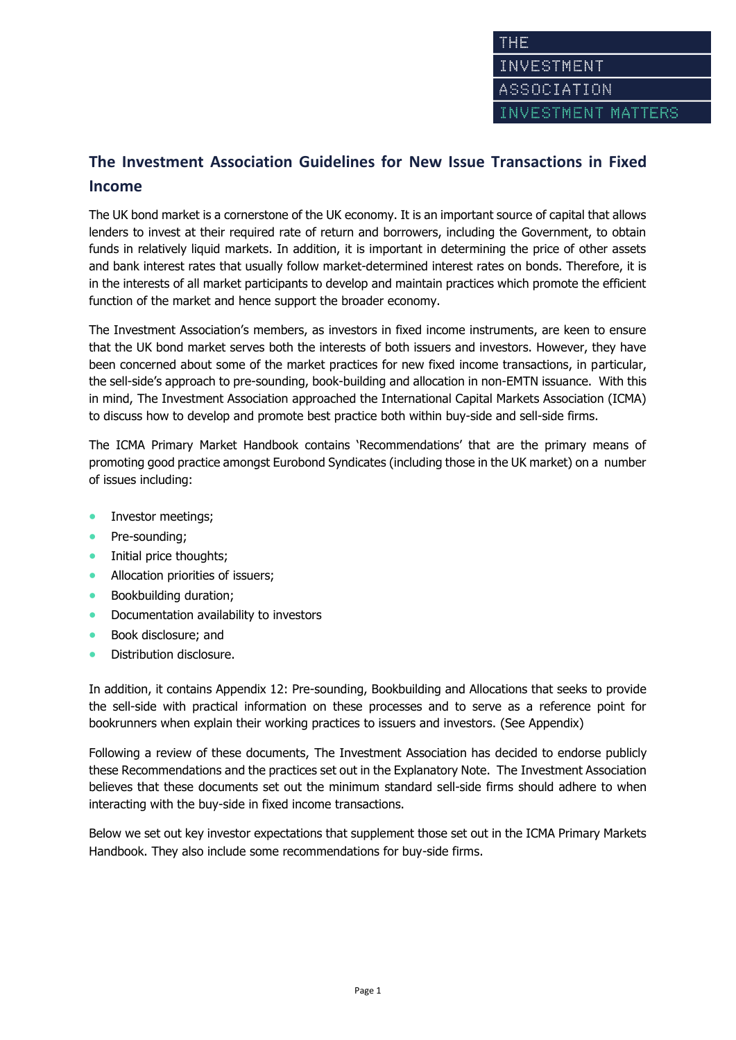# **The Investment Association Guidelines for New Issue Transactions in Fixed Income**

The UK bond market is a cornerstone of the UK economy. It is an important source of capital that allows lenders to invest at their required rate of return and borrowers, including the Government, to obtain funds in relatively liquid markets. In addition, it is important in determining the price of other assets and bank interest rates that usually follow market-determined interest rates on bonds. Therefore, it is in the interests of all market participants to develop and maintain practices which promote the efficient function of the market and hence support the broader economy.

The Investment Association's members, as investors in fixed income instruments, are keen to ensure that the UK bond market serves both the interests of both issuers and investors. However, they have been concerned about some of the market practices for new fixed income transactions, in particular, the sell-side's approach to pre-sounding, book-building and allocation in non-EMTN issuance. With this in mind, The Investment Association approached the International Capital Markets Association (ICMA) to discuss how to develop and promote best practice both within buy-side and sell-side firms.

The ICMA Primary Market Handbook contains 'Recommendations' that are the primary means of promoting good practice amongst Eurobond Syndicates (including those in the UK market) on a number of issues including:

- Investor meetings;
- Pre-sounding;
- Initial price thoughts;
- Allocation priorities of issuers;
- Bookbuilding duration;
- Documentation availability to investors
- Book disclosure; and
- Distribution disclosure.

In addition, it contains Appendix 12: Pre-sounding, Bookbuilding and Allocations that seeks to provide the sell-side with practical information on these processes and to serve as a reference point for bookrunners when explain their working practices to issuers and investors. (See Appendix)

Following a review of these documents, The Investment Association has decided to endorse publicly these Recommendations and the practices set out in the Explanatory Note. The Investment Association believes that these documents set out the minimum standard sell-side firms should adhere to when interacting with the buy-side in fixed income transactions.

Below we set out key investor expectations that supplement those set out in the ICMA Primary Markets Handbook. They also include some recommendations for buy-side firms.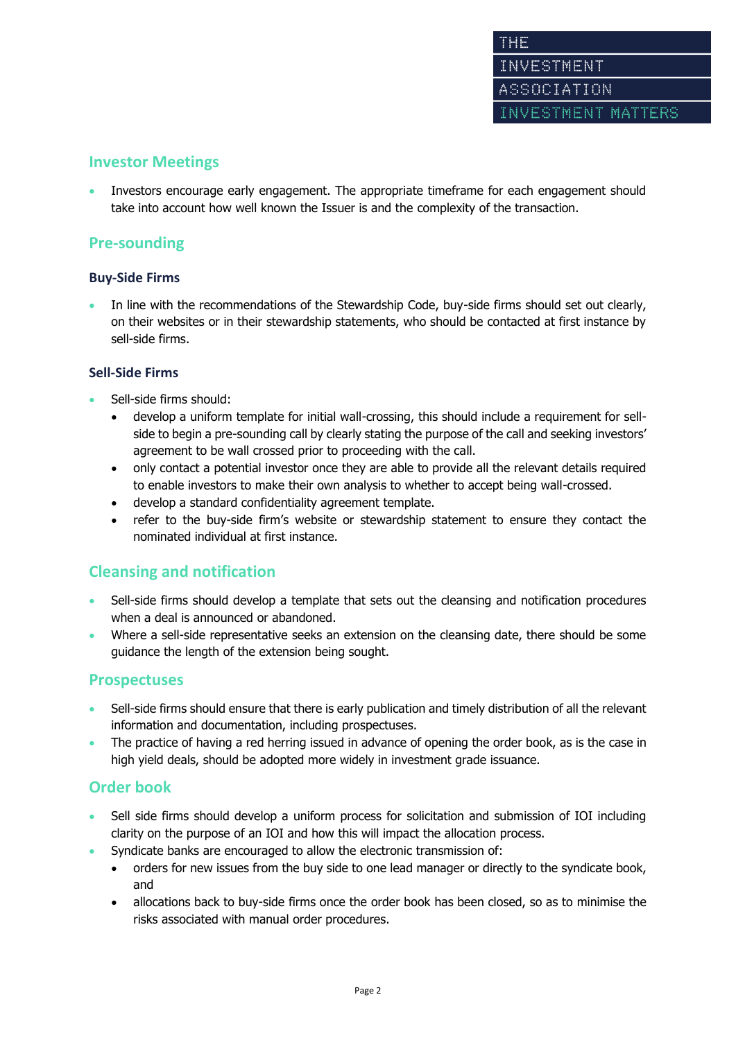# **Investor Meetings**

 Investors encourage early engagement. The appropriate timeframe for each engagement should take into account how well known the Issuer is and the complexity of the transaction.

# **Pre-sounding**

# **Buy-Side Firms**

 In line with the recommendations of the Stewardship Code, buy-side firms should set out clearly, on their websites or in their stewardship statements, who should be contacted at first instance by sell-side firms.

# **Sell-Side Firms**

- Sell-side firms should:
	- develop a uniform template for initial wall-crossing, this should include a requirement for sellside to begin a pre-sounding call by clearly stating the purpose of the call and seeking investors' agreement to be wall crossed prior to proceeding with the call.
	- only contact a potential investor once they are able to provide all the relevant details required to enable investors to make their own analysis to whether to accept being wall-crossed.
	- develop a standard confidentiality agreement template.
	- refer to the buy-side firm's website or stewardship statement to ensure they contact the nominated individual at first instance.

# **Cleansing and notification**

- Sell-side firms should develop a template that sets out the cleansing and notification procedures when a deal is announced or abandoned.
- Where a sell-side representative seeks an extension on the cleansing date, there should be some guidance the length of the extension being sought.

# **Prospectuses**

- Sell-side firms should ensure that there is early publication and timely distribution of all the relevant information and documentation, including prospectuses.
- The practice of having a red herring issued in advance of opening the order book, as is the case in high yield deals, should be adopted more widely in investment grade issuance.

# **Order book**

- Sell side firms should develop a uniform process for solicitation and submission of IOI including clarity on the purpose of an IOI and how this will impact the allocation process.
- Syndicate banks are encouraged to allow the electronic transmission of:
	- orders for new issues from the buy side to one lead manager or directly to the syndicate book, and
	- allocations back to buy-side firms once the order book has been closed, so as to minimise the risks associated with manual order procedures.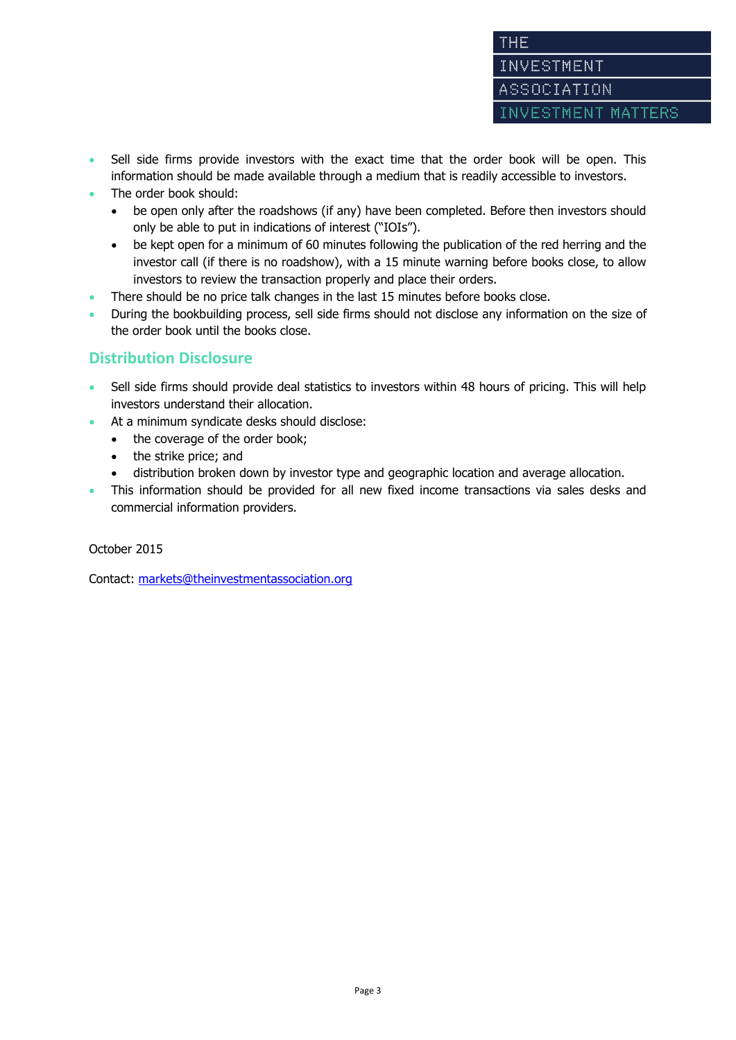- Sell side firms provide investors with the exact time that the order book will be open. This information should be made available through a medium that is readily accessible to investors.
- The order book should:
	- be open only after the roadshows (if any) have been completed. Before then investors should only be able to put in indications of interest ("IOIs").
	- be kept open for a minimum of 60 minutes following the publication of the red herring and the investor call (if there is no roadshow), with a 15 minute warning before books close, to allow investors to review the transaction properly and place their orders.
- There should be no price talk changes in the last 15 minutes before books close.
- During the bookbuilding process, sell side firms should not disclose any information on the size of the order book until the books close.

# **Distribution Disclosure**

- Sell side firms should provide deal statistics to investors within 48 hours of pricing. This will help investors understand their allocation.
- At a minimum syndicate desks should disclose:
	- the coverage of the order book;
	- the strike price; and
	- distribution broken down by investor type and geographic location and average allocation.
- This information should be provided for all new fixed income transactions via sales desks and commercial information providers.

October 2015

Contact: [markets@theinvestmentassociation.org](mailto:markets@theinvestmentassociation.org)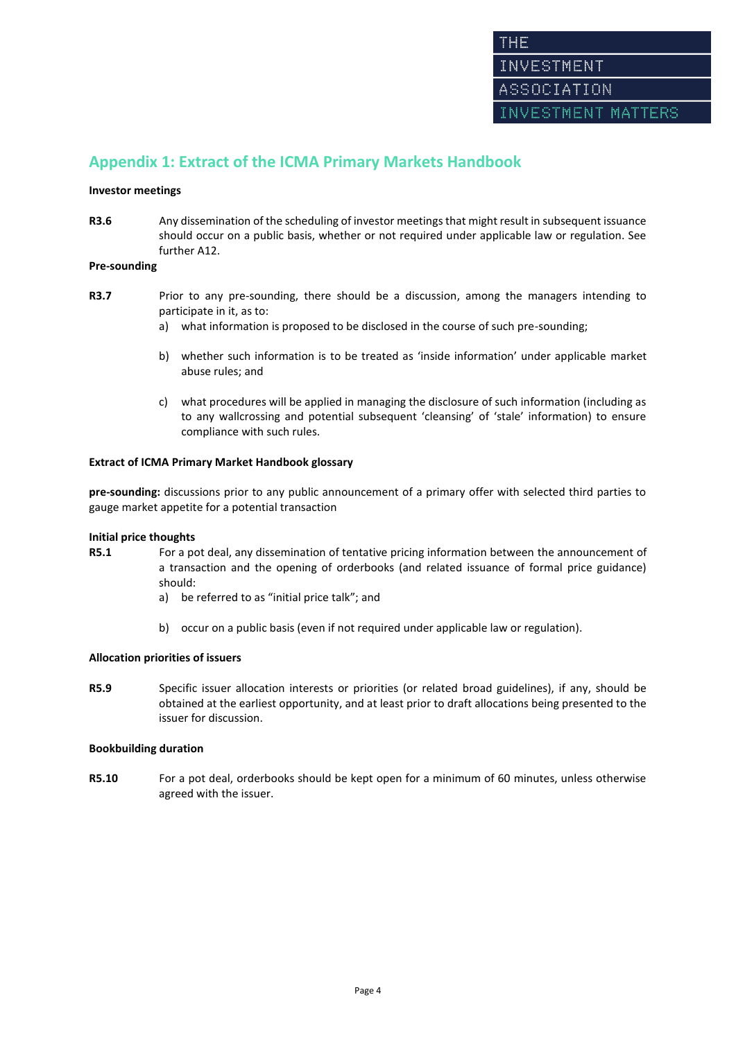# **Appendix 1: Extract of the ICMA Primary Markets Handbook**

### **Investor meetings**

**R3.6** Any dissemination of the scheduling of investor meetings that might result in subsequent issuance should occur on a public basis, whether or not required under applicable law or regulation. See further A12.

### **Pre-sounding**

- **R3.7** Prior to any pre-sounding, there should be a discussion, among the managers intending to participate in it, as to:
	- a) what information is proposed to be disclosed in the course of such pre-sounding;
	- b) whether such information is to be treated as 'inside information' under applicable market abuse rules; and
	- c) what procedures will be applied in managing the disclosure of such information (including as to any wallcrossing and potential subsequent 'cleansing' of 'stale' information) to ensure compliance with such rules.

### **Extract of ICMA Primary Market Handbook glossary**

**pre-sounding:** discussions prior to any public announcement of a primary offer with selected third parties to gauge market appetite for a potential transaction

#### **Initial price thoughts**

- **R5.1** For a pot deal, any dissemination of tentative pricing information between the announcement of a transaction and the opening of orderbooks (and related issuance of formal price guidance) should:
	- a) be referred to as "initial price talk"; and
	- b) occur on a public basis (even if not required under applicable law or regulation).

# **Allocation priorities of issuers**

**R5.9** Specific issuer allocation interests or priorities (or related broad guidelines), if any, should be obtained at the earliest opportunity, and at least prior to draft allocations being presented to the issuer for discussion.

### **Bookbuilding duration**

**R5.10** For a pot deal, orderbooks should be kept open for a minimum of 60 minutes, unless otherwise agreed with the issuer.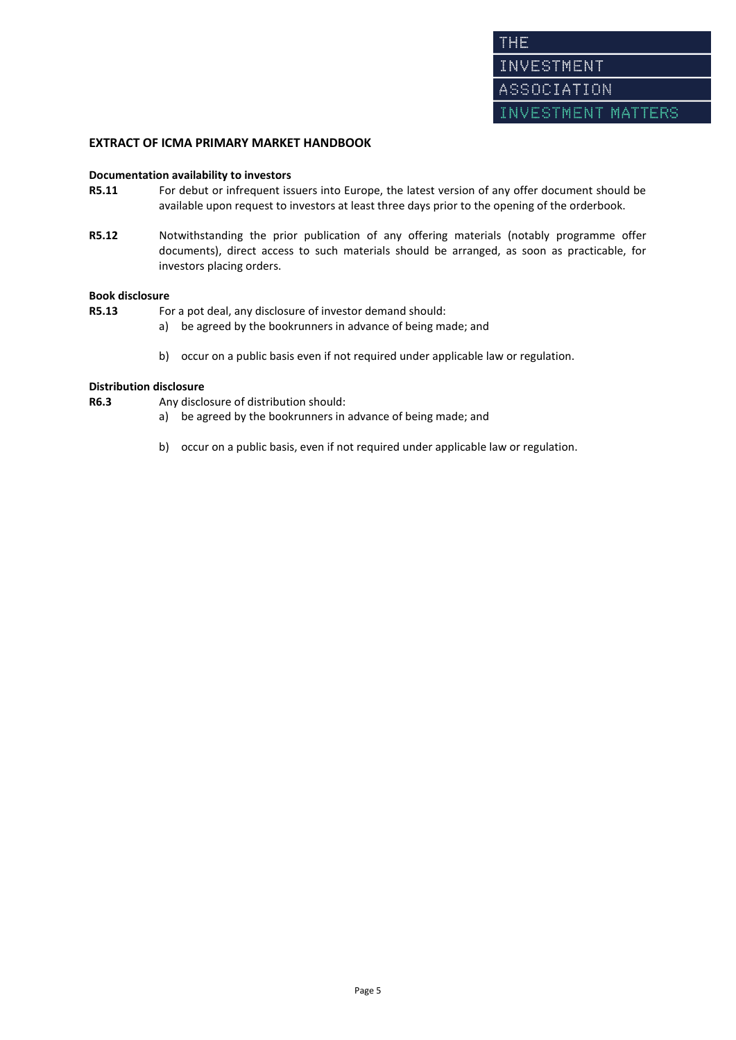# **EXTRACT OF ICMA PRIMARY MARKET HANDBOOK**

#### **Documentation availability to investors**

- **R5.11** For debut or infrequent issuers into Europe, the latest version of any offer document should be available upon request to investors at least three days prior to the opening of the orderbook.
- **R5.12** Notwithstanding the prior publication of any offering materials (notably programme offer documents), direct access to such materials should be arranged, as soon as practicable, for investors placing orders.

#### **Book disclosure**

**R5.13** For a pot deal, any disclosure of investor demand should:

- a) be agreed by the bookrunners in advance of being made; and
- b) occur on a public basis even if not required under applicable law or regulation.

### **Distribution disclosure**

- **R6.3** Any disclosure of distribution should:
	- a) be agreed by the bookrunners in advance of being made; and
	- b) occur on a public basis, even if not required under applicable law or regulation.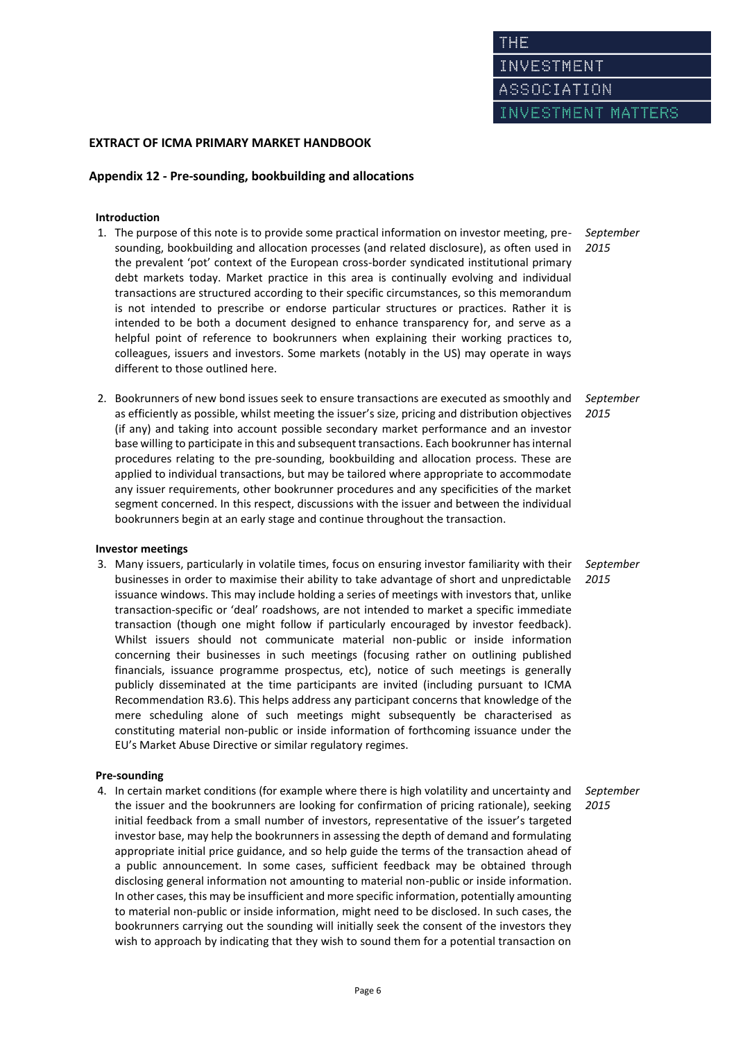INVESTMENT MATTERS

# **EXTRACT OF ICMA PRIMARY MARKET HANDBOOK**

### **Appendix 12 - Pre-sounding, bookbuilding and allocations**

#### **Introduction**

- 1. The purpose of this note is to provide some practical information on investor meeting, presounding, bookbuilding and allocation processes (and related disclosure), as often used in the prevalent 'pot' context of the European cross-border syndicated institutional primary debt markets today. Market practice in this area is continually evolving and individual transactions are structured according to their specific circumstances, so this memorandum is not intended to prescribe or endorse particular structures or practices. Rather it is intended to be both a document designed to enhance transparency for, and serve as a helpful point of reference to bookrunners when explaining their working practices to, colleagues, issuers and investors. Some markets (notably in the US) may operate in ways different to those outlined here.
- 2. Bookrunners of new bond issues seek to ensure transactions are executed as smoothly and as efficiently as possible, whilst meeting the issuer's size, pricing and distribution objectives (if any) and taking into account possible secondary market performance and an investor base willing to participate in this and subsequent transactions. Each bookrunner has internal procedures relating to the pre-sounding, bookbuilding and allocation process. These are applied to individual transactions, but may be tailored where appropriate to accommodate any issuer requirements, other bookrunner procedures and any specificities of the market segment concerned. In this respect, discussions with the issuer and between the individual bookrunners begin at an early stage and continue throughout the transaction.

#### **Investor meetings**

3. Many issuers, particularly in volatile times, focus on ensuring investor familiarity with their businesses in order to maximise their ability to take advantage of short and unpredictable issuance windows. This may include holding a series of meetings with investors that, unlike transaction-specific or 'deal' roadshows, are not intended to market a specific immediate transaction (though one might follow if particularly encouraged by investor feedback). Whilst issuers should not communicate material non-public or inside information concerning their businesses in such meetings (focusing rather on outlining published financials, issuance programme prospectus, etc), notice of such meetings is generally publicly disseminated at the time participants are invited (including pursuant to ICMA Recommendation R3.6). This helps address any participant concerns that knowledge of the mere scheduling alone of such meetings might subsequently be characterised as constituting material non-public or inside information of forthcoming issuance under the EU's Market Abuse Directive or similar regulatory regimes.

#### **Pre-sounding**

4. In certain market conditions (for example where there is high volatility and uncertainty and the issuer and the bookrunners are looking for confirmation of pricing rationale), seeking initial feedback from a small number of investors, representative of the issuer's targeted investor base, may help the bookrunners in assessing the depth of demand and formulating appropriate initial price guidance, and so help guide the terms of the transaction ahead of a public announcement. In some cases, sufficient feedback may be obtained through disclosing general information not amounting to material non-public or inside information. In other cases, this may be insufficient and more specific information, potentially amounting to material non-public or inside information, might need to be disclosed. In such cases, the bookrunners carrying out the sounding will initially seek the consent of the investors they wish to approach by indicating that they wish to sound them for a potential transaction on

*September 2015*

*September 2015*

*September 2015*

*September 2015*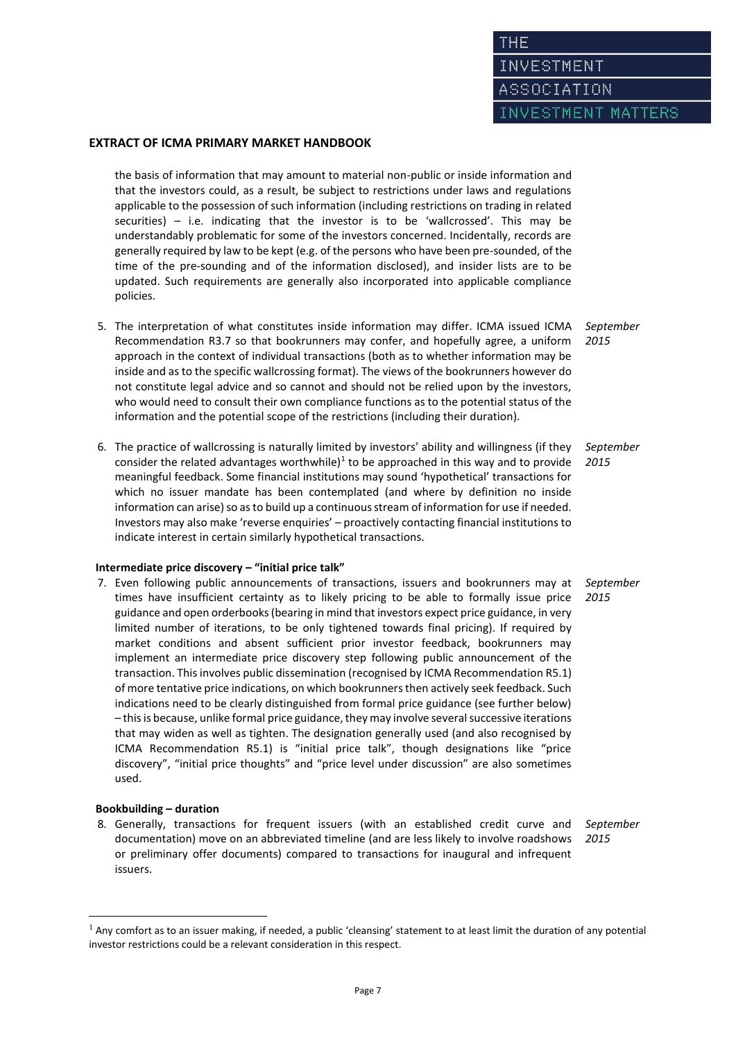INVESTMENT

ASSOCIATION

ESTMENT MATTERS

### **EXTRACT OF ICMA PRIMARY MARKET HANDBOOK**

the basis of information that may amount to material non-public or inside information and that the investors could, as a result, be subject to restrictions under laws and regulations applicable to the possession of such information (including restrictions on trading in related securities) – i.e. indicating that the investor is to be 'wallcrossed'. This may be understandably problematic for some of the investors concerned. Incidentally, records are generally required by law to be kept (e.g. of the persons who have been pre-sounded, of the time of the pre-sounding and of the information disclosed), and insider lists are to be updated. Such requirements are generally also incorporated into applicable compliance policies.

- 5. The interpretation of what constitutes inside information may differ. ICMA issued ICMA Recommendation R3.7 so that bookrunners may confer, and hopefully agree, a uniform approach in the context of individual transactions (both as to whether information may be inside and as to the specific wallcrossing format). The views of the bookrunners however do not constitute legal advice and so cannot and should not be relied upon by the investors, who would need to consult their own compliance functions as to the potential status of the information and the potential scope of the restrictions (including their duration). *September 2015*
- 6. The practice of wallcrossing is naturally limited by investors' ability and willingness (if they consider the related advantages worthwhile) $1$  to be approached in this way and to provide meaningful feedback. Some financial institutions may sound 'hypothetical' transactions for which no issuer mandate has been contemplated (and where by definition no inside information can arise) so as to build up a continuous stream of information for use if needed. Investors may also make 'reverse enquiries' – proactively contacting financial institutions to indicate interest in certain similarly hypothetical transactions. *September 2015*

### **Intermediate price discovery – "initial price talk"**

7. Even following public announcements of transactions, issuers and bookrunners may at times have insufficient certainty as to likely pricing to be able to formally issue price guidance and open orderbooks (bearing in mind that investors expect price guidance, in very limited number of iterations, to be only tightened towards final pricing). If required by market conditions and absent sufficient prior investor feedback, bookrunners may implement an intermediate price discovery step following public announcement of the transaction. This involves public dissemination (recognised by ICMA Recommendation R5.1) of more tentative price indications, on which bookrunners then actively seek feedback. Such indications need to be clearly distinguished from formal price guidance (see further below) – this is because, unlike formal price guidance, they may involve several successive iterations that may widen as well as tighten. The designation generally used (and also recognised by ICMA Recommendation R5.1) is "initial price talk", though designations like "price discovery", "initial price thoughts" and "price level under discussion" are also sometimes used. *September*

#### **Bookbuilding – duration**

 $\overline{\phantom{a}}$ 

8. Generally, transactions for frequent issuers (with an established credit curve and documentation) move on an abbreviated timeline (and are less likely to involve roadshows or preliminary offer documents) compared to transactions for inaugural and infrequent issuers.

*September 2015*

*2015*

 $1$  Any comfort as to an issuer making, if needed, a public 'cleansing' statement to at least limit the duration of any potential investor restrictions could be a relevant consideration in this respect.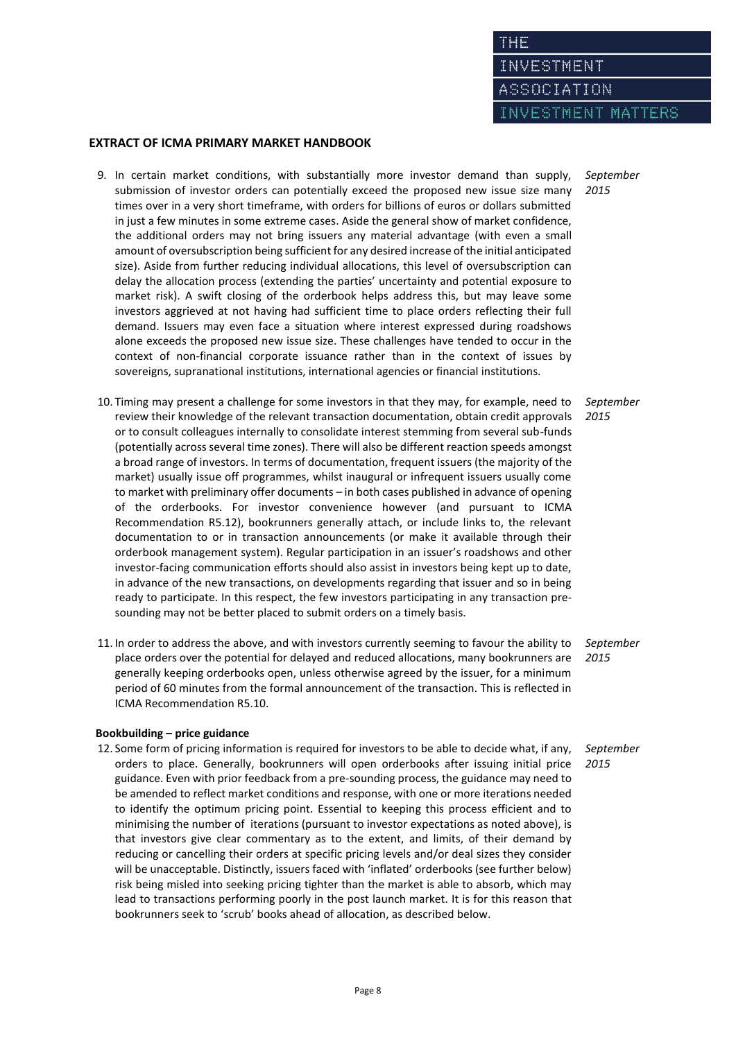INVESTMENT MATTERS

# **EXTRACT OF ICMA PRIMARY MARKET HANDBOOK**

- 9. In certain market conditions, with substantially more investor demand than supply, submission of investor orders can potentially exceed the proposed new issue size many times over in a very short timeframe, with orders for billions of euros or dollars submitted in just a few minutes in some extreme cases. Aside the general show of market confidence, the additional orders may not bring issuers any material advantage (with even a small amount of oversubscription being sufficient for any desired increase of the initial anticipated size). Aside from further reducing individual allocations, this level of oversubscription can delay the allocation process (extending the parties' uncertainty and potential exposure to market risk). A swift closing of the orderbook helps address this, but may leave some investors aggrieved at not having had sufficient time to place orders reflecting their full demand. Issuers may even face a situation where interest expressed during roadshows alone exceeds the proposed new issue size. These challenges have tended to occur in the context of non-financial corporate issuance rather than in the context of issues by sovereigns, supranational institutions, international agencies or financial institutions.
- 10. Timing may present a challenge for some investors in that they may, for example, need to review their knowledge of the relevant transaction documentation, obtain credit approvals or to consult colleagues internally to consolidate interest stemming from several sub-funds (potentially across several time zones). There will also be different reaction speeds amongst a broad range of investors. In terms of documentation, frequent issuers (the majority of the market) usually issue off programmes, whilst inaugural or infrequent issuers usually come to market with preliminary offer documents – in both cases published in advance of opening of the orderbooks. For investor convenience however (and pursuant to ICMA Recommendation R5.12), bookrunners generally attach, or include links to, the relevant documentation to or in transaction announcements (or make it available through their orderbook management system). Regular participation in an issuer's roadshows and other investor-facing communication efforts should also assist in investors being kept up to date, in advance of the new transactions, on developments regarding that issuer and so in being ready to participate. In this respect, the few investors participating in any transaction presounding may not be better placed to submit orders on a timely basis.
- 11. In order to address the above, and with investors currently seeming to favour the ability to place orders over the potential for delayed and reduced allocations, many bookrunners are generally keeping orderbooks open, unless otherwise agreed by the issuer, for a minimum period of 60 minutes from the formal announcement of the transaction. This is reflected in ICMA Recommendation R5.10.

# *September 2015*

#### **Bookbuilding – price guidance**

12. Some form of pricing information is required for investors to be able to decide what, if any, orders to place. Generally, bookrunners will open orderbooks after issuing initial price guidance. Even with prior feedback from a pre-sounding process, the guidance may need to be amended to reflect market conditions and response, with one or more iterations needed to identify the optimum pricing point. Essential to keeping this process efficient and to minimising the number of iterations (pursuant to investor expectations as noted above), is that investors give clear commentary as to the extent, and limits, of their demand by reducing or cancelling their orders at specific pricing levels and/or deal sizes they consider will be unacceptable. Distinctly, issuers faced with 'inflated' orderbooks (see further below) risk being misled into seeking pricing tighter than the market is able to absorb, which may lead to transactions performing poorly in the post launch market. It is for this reason that bookrunners seek to 'scrub' books ahead of allocation, as described below.

*September 2015*

*September 2015*

*September 2015*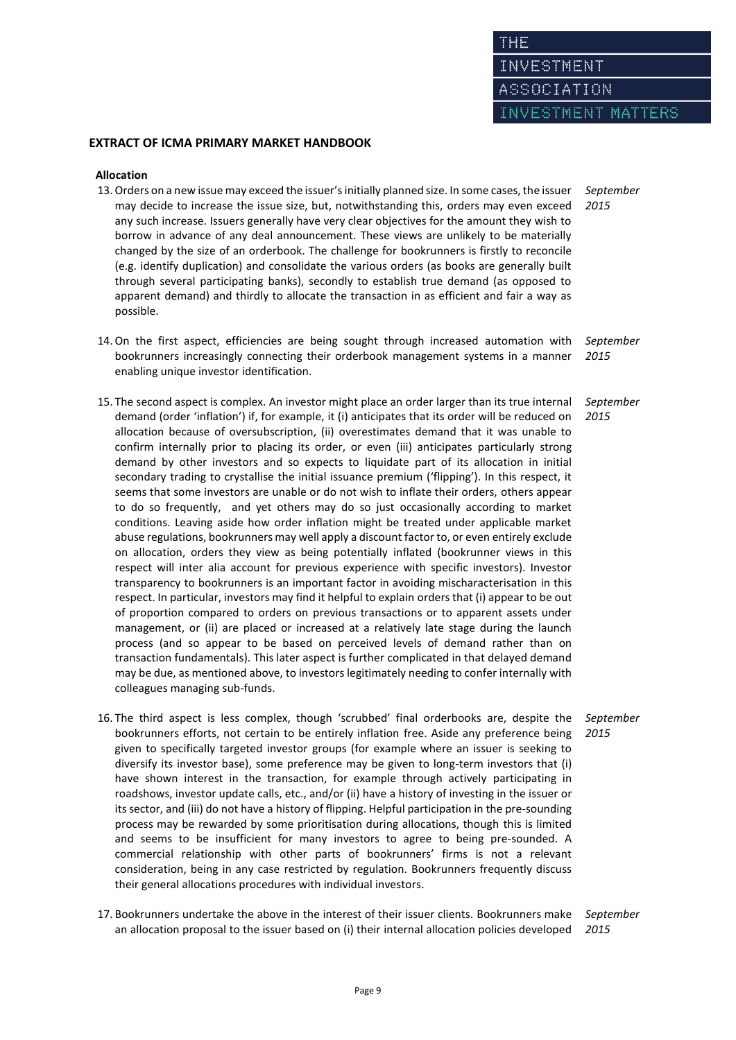INVESTMENT MATTERS

### **EXTRACT OF ICMA PRIMARY MARKET HANDBOOK**

#### **Allocation**

- 13.Orders on a new issue may exceed the issuer's initially planned size. In some cases, the issuer may decide to increase the issue size, but, notwithstanding this, orders may even exceed any such increase. Issuers generally have very clear objectives for the amount they wish to borrow in advance of any deal announcement. These views are unlikely to be materially changed by the size of an orderbook. The challenge for bookrunners is firstly to reconcile (e.g. identify duplication) and consolidate the various orders (as books are generally built through several participating banks), secondly to establish true demand (as opposed to apparent demand) and thirdly to allocate the transaction in as efficient and fair a way as possible. *September 2015*
- 14.On the first aspect, efficiencies are being sought through increased automation with bookrunners increasingly connecting their orderbook management systems in a manner enabling unique investor identification. *2015*
- 15. The second aspect is complex. An investor might place an order larger than its true internal demand (order 'inflation') if, for example, it (i) anticipates that its order will be reduced on allocation because of oversubscription, (ii) overestimates demand that it was unable to confirm internally prior to placing its order, or even (iii) anticipates particularly strong demand by other investors and so expects to liquidate part of its allocation in initial secondary trading to crystallise the initial issuance premium ('flipping'). In this respect, it seems that some investors are unable or do not wish to inflate their orders, others appear to do so frequently, and yet others may do so just occasionally according to market conditions. Leaving aside how order inflation might be treated under applicable market abuse regulations, bookrunners may well apply a discount factor to, or even entirely exclude on allocation, orders they view as being potentially inflated (bookrunner views in this respect will inter alia account for previous experience with specific investors). Investor transparency to bookrunners is an important factor in avoiding mischaracterisation in this respect. In particular, investors may find it helpful to explain orders that (i) appear to be out of proportion compared to orders on previous transactions or to apparent assets under management, or (ii) are placed or increased at a relatively late stage during the launch process (and so appear to be based on perceived levels of demand rather than on transaction fundamentals). This later aspect is further complicated in that delayed demand may be due, as mentioned above, to investors legitimately needing to confer internally with colleagues managing sub-funds.
- 16. The third aspect is less complex, though 'scrubbed' final orderbooks are, despite the bookrunners efforts, not certain to be entirely inflation free. Aside any preference being given to specifically targeted investor groups (for example where an issuer is seeking to diversify its investor base), some preference may be given to long-term investors that (i) have shown interest in the transaction, for example through actively participating in roadshows, investor update calls, etc., and/or (ii) have a history of investing in the issuer or its sector, and (iii) do not have a history of flipping. Helpful participation in the pre-sounding process may be rewarded by some prioritisation during allocations, though this is limited and seems to be insufficient for many investors to agree to being pre-sounded. A commercial relationship with other parts of bookrunners' firms is not a relevant consideration, being in any case restricted by regulation. Bookrunners frequently discuss their general allocations procedures with individual investors.
- 17. Bookrunners undertake the above in the interest of their issuer clients. Bookrunners make an allocation proposal to the issuer based on (i) their internal allocation policies developed *September 2015*

*September*

*September 2015*

*September 2015*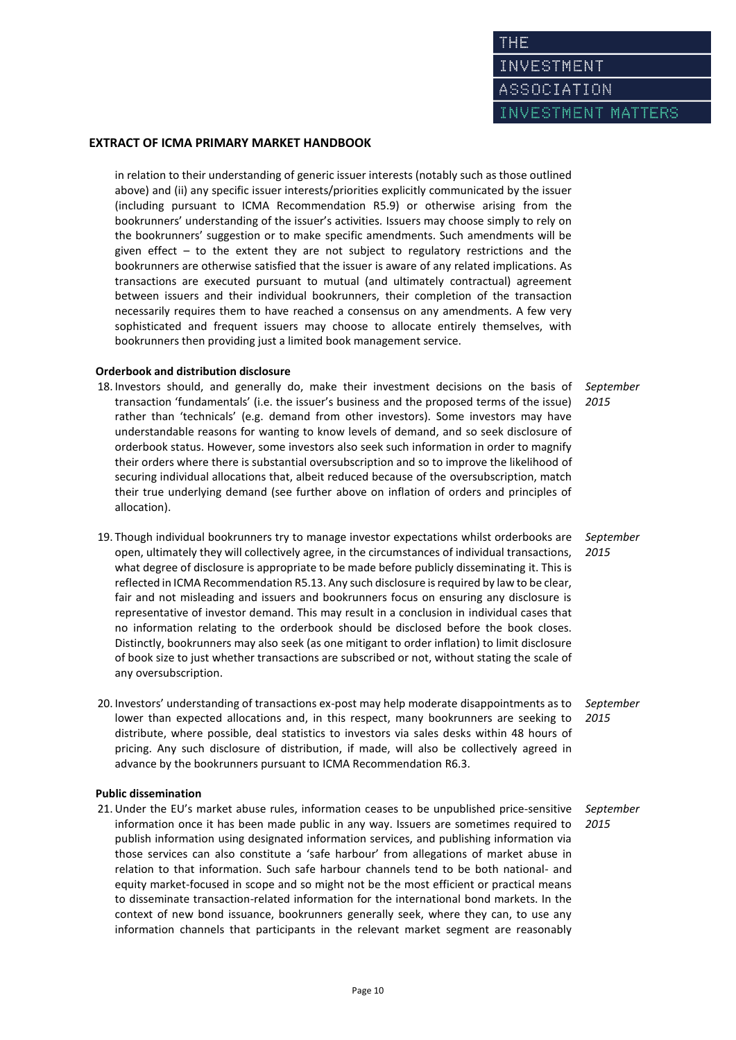INVESTMENT MATTERS

### **EXTRACT OF ICMA PRIMARY MARKET HANDBOOK**

in relation to their understanding of generic issuer interests (notably such as those outlined above) and (ii) any specific issuer interests/priorities explicitly communicated by the issuer (including pursuant to ICMA Recommendation R5.9) or otherwise arising from the bookrunners' understanding of the issuer's activities. Issuers may choose simply to rely on the bookrunners' suggestion or to make specific amendments. Such amendments will be given effect – to the extent they are not subject to regulatory restrictions and the bookrunners are otherwise satisfied that the issuer is aware of any related implications. As transactions are executed pursuant to mutual (and ultimately contractual) agreement between issuers and their individual bookrunners, their completion of the transaction necessarily requires them to have reached a consensus on any amendments. A few very sophisticated and frequent issuers may choose to allocate entirely themselves, with bookrunners then providing just a limited book management service.

### **Orderbook and distribution disclosure**

- 18. Investors should, and generally do, make their investment decisions on the basis of transaction 'fundamentals' (i.e. the issuer's business and the proposed terms of the issue) rather than 'technicals' (e.g. demand from other investors). Some investors may have understandable reasons for wanting to know levels of demand, and so seek disclosure of orderbook status. However, some investors also seek such information in order to magnify their orders where there is substantial oversubscription and so to improve the likelihood of securing individual allocations that, albeit reduced because of the oversubscription, match their true underlying demand (see further above on inflation of orders and principles of allocation). *September 2015*
- 19. Though individual bookrunners try to manage investor expectations whilst orderbooks are open, ultimately they will collectively agree, in the circumstances of individual transactions, what degree of disclosure is appropriate to be made before publicly disseminating it. This is reflected in ICMA Recommendation R5.13. Any such disclosure is required by law to be clear, fair and not misleading and issuers and bookrunners focus on ensuring any disclosure is representative of investor demand. This may result in a conclusion in individual cases that no information relating to the orderbook should be disclosed before the book closes. Distinctly, bookrunners may also seek (as one mitigant to order inflation) to limit disclosure of book size to just whether transactions are subscribed or not, without stating the scale of any oversubscription. *September 2015*
- 20. Investors' understanding of transactions ex-post may help moderate disappointments as to lower than expected allocations and, in this respect, many bookrunners are seeking to distribute, where possible, deal statistics to investors via sales desks within 48 hours of pricing. Any such disclosure of distribution, if made, will also be collectively agreed in advance by the bookrunners pursuant to ICMA Recommendation R6.3. *September 2015*

#### **Public dissemination**

21.Under the EU's market abuse rules, information ceases to be unpublished price-sensitive information once it has been made public in any way. Issuers are sometimes required to publish information using designated information services, and publishing information via those services can also constitute a 'safe harbour' from allegations of market abuse in relation to that information. Such safe harbour channels tend to be both national- and equity market-focused in scope and so might not be the most efficient or practical means to disseminate transaction-related information for the international bond markets. In the context of new bond issuance, bookrunners generally seek, where they can, to use any information channels that participants in the relevant market segment are reasonably *September 2015*